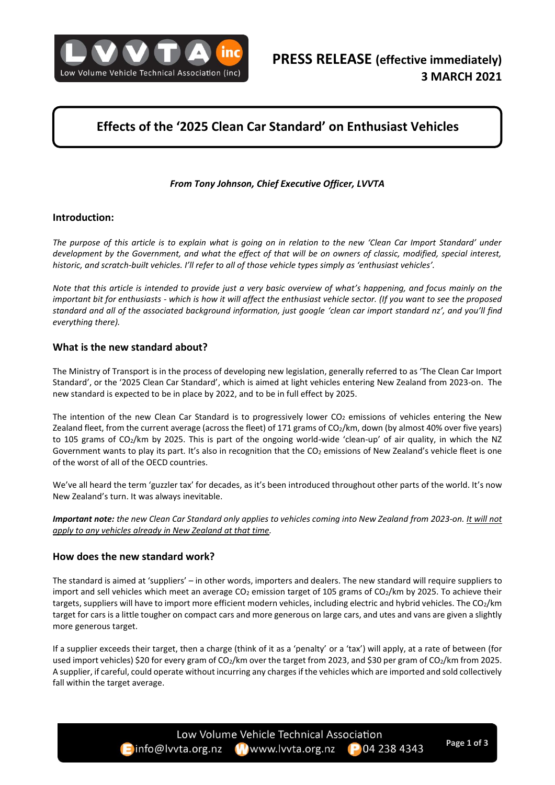

# **Effects of the '2025 Clean Car Standard' on Enthusiast Vehicles**

### *From Tony Johnson, Chief Executive Officer, LVVTA*

#### **Introduction:**

*The purpose of this article is to explain what is going on in relation to the new 'Clean Car Import Standard' under development by the Government, and what the effect of that will be on owners of classic, modified, special interest, historic, and scratch-built vehicles. I'll refer to all of those vehicle types simply as 'enthusiast vehicles'.*

*Note that this article is intended to provide just a very basic overview of what's happening, and focus mainly on the important bit for enthusiasts - which is how it will affect the enthusiast vehicle sector. (If you want to see the proposed standard and all of the associated background information, just google 'clean car import standard nz', and you'll find everything there).*

#### **What is the new standard about?**

The Ministry of Transport is in the process of developing new legislation, generally referred to as 'The Clean Car Import Standard', or the '2025 Clean Car Standard', which is aimed at light vehicles entering New Zealand from 2023-on. The new standard is expected to be in place by 2022, and to be in full effect by 2025.

The intention of the new Clean Car Standard is to progressively lower  $CO<sub>2</sub>$  emissions of vehicles entering the New Zealand fleet, from the current average (across the fleet) of 171 grams of CO<sub>2</sub>/km, down (by almost 40% over five years) to 105 grams of CO2/km by 2025. This is part of the ongoing world-wide 'clean-up' of air quality, in which the NZ Government wants to play its part. It's also in recognition that the CO<sub>2</sub> emissions of New Zealand's vehicle fleet is one of the worst of all of the OECD countries.

We've all heard the term 'guzzler tax' for decades, as it's been introduced throughout other parts of the world. It's now New Zealand's turn. It was always inevitable.

*Important note: the new Clean Car Standard only applies to vehicles coming into New Zealand from 2023-on. It will not apply to any vehicles already in New Zealand at that time.*

#### **How does the new standard work?**

The standard is aimed at 'suppliers' – in other words, importers and dealers. The new standard will require suppliers to import and sell vehicles which meet an average  $CO_2$  emission target of 105 grams of  $CO_2/km$  by 2025. To achieve their targets, suppliers will have to import more efficient modern vehicles, including electric and hybrid vehicles. The CO2/km target for cars is a little tougher on compact cars and more generous on large cars, and utes and vans are given a slightly more generous target.

If a supplier exceeds their target, then a charge (think of it as a 'penalty' or a 'tax') will apply, at a rate of between (for used import vehicles) \$20 for every gram of CO<sub>2</sub>/km over the target from 2023, and \$30 per gram of CO<sub>2</sub>/km from 2025. A supplier, if careful, could operate without incurring any charges if the vehicles which are imported and sold collectively fall within the target average.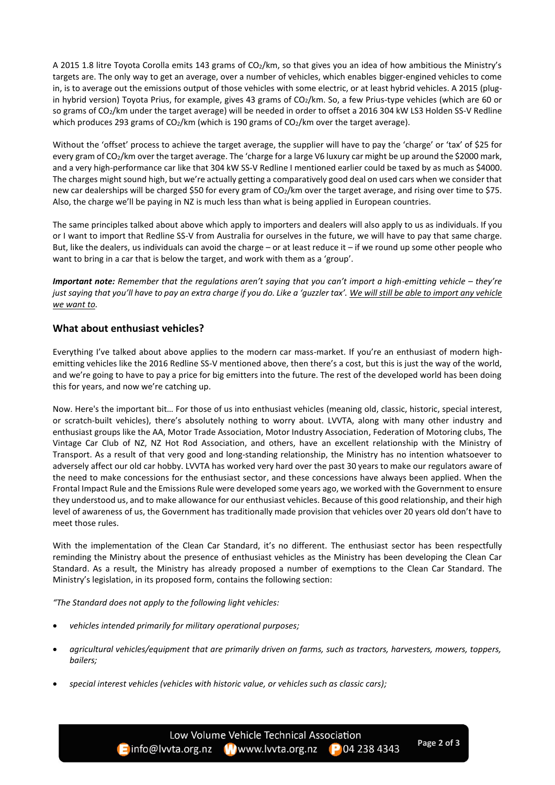A 2015 1.8 litre Toyota Corolla emits 143 grams of CO2/km, so that gives you an idea of how ambitious the Ministry's targets are. The only way to get an average, over a number of vehicles, which enables bigger-engined vehicles to come in, is to average out the emissions output of those vehicles with some electric, or at least hybrid vehicles. A 2015 (plugin hybrid version) Toyota Prius, for example, gives 43 grams of CO<sub>2</sub>/km. So, a few Prius-type vehicles (which are 60 or so grams of CO2/km under the target average) will be needed in order to offset a 2016 304 kW LS3 Holden SS-V Redline which produces 293 grams of CO<sub>2</sub>/km (which is 190 grams of CO<sub>2</sub>/km over the target average).

Without the 'offset' process to achieve the target average, the supplier will have to pay the 'charge' or 'tax' of \$25 for every gram of CO<sub>2</sub>/km over the target average. The 'charge for a large V6 luxury car might be up around the \$2000 mark, and a very high-performance car like that 304 kW SS-V Redline I mentioned earlier could be taxed by as much as \$4000. The charges might sound high, but we're actually getting a comparatively good deal on used cars when we consider that new car dealerships will be charged \$50 for every gram of CO<sub>2</sub>/km over the target average, and rising over time to \$75. Also, the charge we'll be paying in NZ is much less than what is being applied in European countries.

The same principles talked about above which apply to importers and dealers will also apply to us as individuals. If you or I want to import that Redline SS-V from Australia for ourselves in the future, we will have to pay that same charge. But, like the dealers, us individuals can avoid the charge – or at least reduce it – if we round up some other people who want to bring in a car that is below the target, and work with them as a 'group'.

*Important note:* Remember that the regulations aren't saying that you can't import a high-emitting vehicle – they're *just saying that you'll have to pay an extra charge if you do. Like a 'guzzler tax'. We will still be able to import any vehicle we want to.*

## **What about enthusiast vehicles?**

Everything I've talked about above applies to the modern car mass-market. If you're an enthusiast of modern highemitting vehicles like the 2016 Redline SS-V mentioned above, then there's a cost, but this is just the way of the world, and we're going to have to pay a price for big emitters into the future. The rest of the developed world has been doing this for years, and now we're catching up.

Now. Here's the important bit… For those of us into enthusiast vehicles (meaning old, classic, historic, special interest, or scratch-built vehicles), there's absolutely nothing to worry about. LVVTA, along with many other industry and enthusiast groups like the AA, Motor Trade Association, Motor Industry Association, Federation of Motoring clubs, The Vintage Car Club of NZ, NZ Hot Rod Association, and others, have an excellent relationship with the Ministry of Transport. As a result of that very good and long-standing relationship, the Ministry has no intention whatsoever to adversely affect our old car hobby. LVVTA has worked very hard over the past 30 years to make our regulators aware of the need to make concessions for the enthusiast sector, and these concessions have always been applied. When the Frontal Impact Rule and the Emissions Rule were developed some years ago, we worked with the Government to ensure they understood us, and to make allowance for our enthusiast vehicles. Because of this good relationship, and their high level of awareness of us, the Government has traditionally made provision that vehicles over 20 years old don't have to meet those rules.

With the implementation of the Clean Car Standard, it's no different. The enthusiast sector has been respectfully reminding the Ministry about the presence of enthusiast vehicles as the Ministry has been developing the Clean Car Standard. As a result, the Ministry has already proposed a number of exemptions to the Clean Car Standard. The Ministry's legislation, in its proposed form, contains the following section:

*"The Standard does not apply to the following light vehicles:*

- *vehicles intended primarily for military operational purposes;*
- *agricultural vehicles/equipment that are primarily driven on farms, such as tractors, harvesters, mowers, toppers, bailers;*
- *special interest vehicles (vehicles with historic value, or vehicles such as classic cars);*